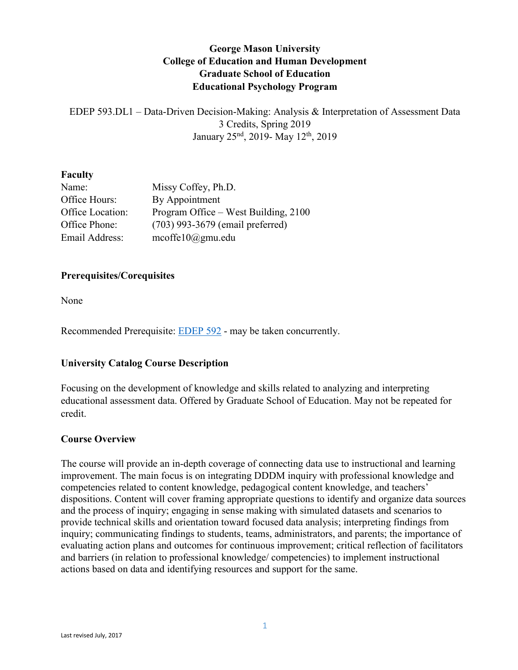# **George Mason University College of Education and Human Development Graduate School of Education Educational Psychology Program**

EDEP 593.DL1 – Data-Driven Decision-Making: Analysis & Interpretation of Assessment Data 3 Credits, Spring 2019 January 25nd, 2019- May 12th, 2019

#### **Faculty**

| Name:            | Missy Coffey, Ph.D.                  |
|------------------|--------------------------------------|
| Office Hours:    | By Appointment                       |
| Office Location: | Program Office – West Building, 2100 |
| Office Phone:    | (703) 993-3679 (email preferred)     |
| Email Address:   | $\text{mcoffel}(0/\omega)$ gmu.edu   |

#### **Prerequisites/Corequisites**

None

Recommended Prerequisite: [EDEP 592](https://catalog.gmu.edu/search/?search=EDEP+592) - may be taken concurrently.

## **University Catalog Course Description**

Focusing on the development of knowledge and skills related to analyzing and interpreting educational assessment data. Offered by Graduate School of Education. May not be repeated for credit.

#### **Course Overview**

The course will provide an in-depth coverage of connecting data use to instructional and learning improvement. The main focus is on integrating DDDM inquiry with professional knowledge and competencies related to content knowledge, pedagogical content knowledge, and teachers' dispositions. Content will cover framing appropriate questions to identify and organize data sources and the process of inquiry; engaging in sense making with simulated datasets and scenarios to provide technical skills and orientation toward focused data analysis; interpreting findings from inquiry; communicating findings to students, teams, administrators, and parents; the importance of evaluating action plans and outcomes for continuous improvement; critical reflection of facilitators and barriers (in relation to professional knowledge/ competencies) to implement instructional actions based on data and identifying resources and support for the same.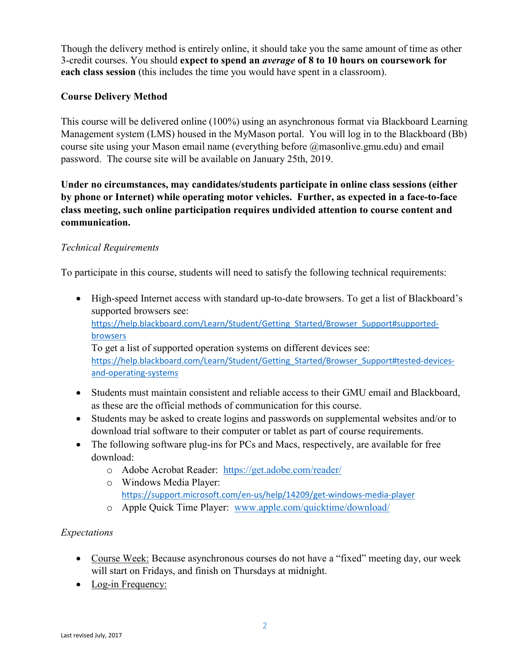Though the delivery method is entirely online, it should take you the same amount of time as other 3-credit courses. You should **expect to spend an** *average* **of 8 to 10 hours on coursework for each class session** (this includes the time you would have spent in a classroom).

## **Course Delivery Method**

This course will be delivered online (100%) using an asynchronous format via Blackboard Learning Management system (LMS) housed in the MyMason portal. You will log in to the Blackboard (Bb) course site using your Mason email name (everything before @masonlive.gmu.edu) and email password. The course site will be available on January 25th, 2019.

**Under no circumstances, may candidates/students participate in online class sessions (either by phone or Internet) while operating motor vehicles. Further, as expected in a face-to-face class meeting, such online participation requires undivided attention to course content and communication.**

## *Technical Requirements*

To participate in this course, students will need to satisfy the following technical requirements:

- High-speed Internet access with standard up-to-date browsers. To get a list of Blackboard's supported browsers see: [https://help.blackboard.com/Learn/Student/Getting\\_Started/Browser\\_Support#supported](https://help.blackboard.com/Learn/Student/Getting_Started/Browser_Support#supported-browsers)[browsers](https://help.blackboard.com/Learn/Student/Getting_Started/Browser_Support#supported-browsers) To get a list of supported operation systems on different devices see: https://help.blackboard.com/Learn/Student/Getting Started/Browser Support#tested-devices[and-operating-systems](https://help.blackboard.com/Learn/Student/Getting_Started/Browser_Support#tested-devices-and-operating-systems)
- Students must maintain consistent and reliable access to their GMU email and Blackboard, as these are the official methods of communication for this course.
- Students may be asked to create logins and passwords on supplemental websites and/or to download trial software to their computer or tablet as part of course requirements.
- The following software plug-ins for PCs and Macs, respectively, are available for free download:
	- o Adobe Acrobat Reader: <https://get.adobe.com/reader/>
	- o Windows Media Player: <https://support.microsoft.com/en-us/help/14209/get-windows-media-player>
	- o Apple Quick Time Player: [www.apple.com/quicktime/download/](http://www.apple.com/quicktime/download/)

# *Expectations*

- Course Week: Because asynchronous courses do not have a "fixed" meeting day, our week will start on Fridays, and finish on Thursdays at midnight.
- Log-in Frequency: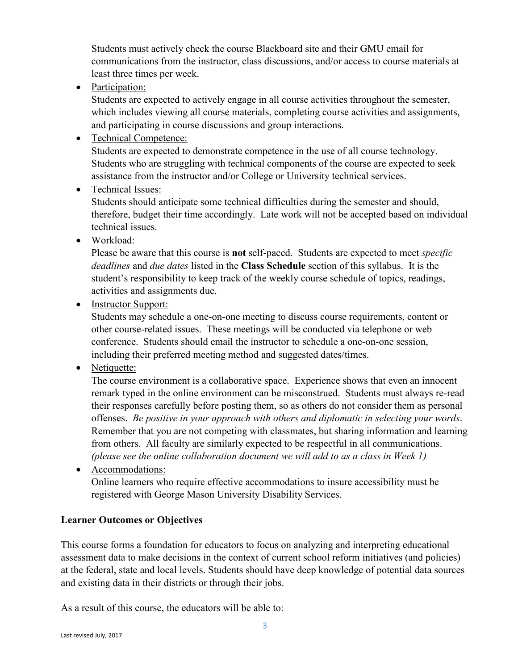Students must actively check the course Blackboard site and their GMU email for communications from the instructor, class discussions, and/or access to course materials at least three times per week.

• Participation:

Students are expected to actively engage in all course activities throughout the semester, which includes viewing all course materials, completing course activities and assignments, and participating in course discussions and group interactions.

• Technical Competence:

Students are expected to demonstrate competence in the use of all course technology. Students who are struggling with technical components of the course are expected to seek assistance from the instructor and/or College or University technical services.

• Technical Issues:

Students should anticipate some technical difficulties during the semester and should, therefore, budget their time accordingly. Late work will not be accepted based on individual technical issues.

• Workload:

Please be aware that this course is **not** self-paced. Students are expected to meet *specific deadlines* and *due dates* listed in the **Class Schedule** section of this syllabus. It is the student's responsibility to keep track of the weekly course schedule of topics, readings, activities and assignments due.

• Instructor Support:

Students may schedule a one-on-one meeting to discuss course requirements, content or other course-related issues. These meetings will be conducted via telephone or web conference. Students should email the instructor to schedule a one-on-one session, including their preferred meeting method and suggested dates/times.

• Netiquette:

The course environment is a collaborative space. Experience shows that even an innocent remark typed in the online environment can be misconstrued. Students must always re-read their responses carefully before posting them, so as others do not consider them as personal offenses. *Be positive in your approach with others and diplomatic in selecting your words*. Remember that you are not competing with classmates, but sharing information and learning from others. All faculty are similarly expected to be respectful in all communications. *(please see the online collaboration document we will add to as a class in Week 1)*

• Accommodations: Online learners who require effective accommodations to insure accessibility must be registered with George Mason University Disability Services.

## **Learner Outcomes or Objectives**

This course forms a foundation for educators to focus on analyzing and interpreting educational assessment data to make decisions in the context of current school reform initiatives (and policies) at the federal, state and local levels. Students should have deep knowledge of potential data sources and existing data in their districts or through their jobs.

As a result of this course, the educators will be able to: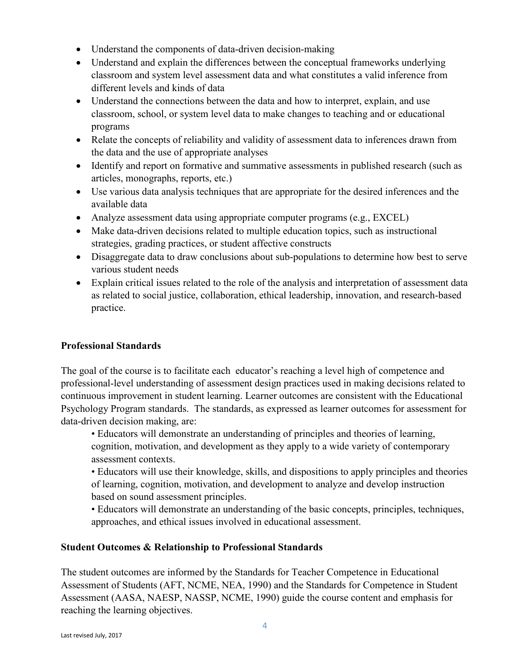- Understand the components of data-driven decision-making
- Understand and explain the differences between the conceptual frameworks underlying classroom and system level assessment data and what constitutes a valid inference from different levels and kinds of data
- Understand the connections between the data and how to interpret, explain, and use classroom, school, or system level data to make changes to teaching and or educational programs
- Relate the concepts of reliability and validity of assessment data to inferences drawn from the data and the use of appropriate analyses
- Identify and report on formative and summative assessments in published research (such as articles, monographs, reports, etc.)
- Use various data analysis techniques that are appropriate for the desired inferences and the available data
- Analyze assessment data using appropriate computer programs (e.g., EXCEL)
- Make data-driven decisions related to multiple education topics, such as instructional strategies, grading practices, or student affective constructs
- Disaggregate data to draw conclusions about sub-populations to determine how best to serve various student needs
- Explain critical issues related to the role of the analysis and interpretation of assessment data as related to social justice, collaboration, ethical leadership, innovation, and research-based practice.

## **Professional Standards**

The goal of the course is to facilitate each educator's reaching a level high of competence and professional-level understanding of assessment design practices used in making decisions related to continuous improvement in student learning. Learner outcomes are consistent with the Educational Psychology Program standards. The standards, as expressed as learner outcomes for assessment for data-driven decision making, are:

• Educators will demonstrate an understanding of principles and theories of learning, cognition, motivation, and development as they apply to a wide variety of contemporary assessment contexts.

• Educators will use their knowledge, skills, and dispositions to apply principles and theories of learning, cognition, motivation, and development to analyze and develop instruction based on sound assessment principles.

• Educators will demonstrate an understanding of the basic concepts, principles, techniques, approaches, and ethical issues involved in educational assessment.

## **Student Outcomes & Relationship to Professional Standards**

The student outcomes are informed by the Standards for Teacher Competence in Educational Assessment of Students (AFT, NCME, NEA, 1990) and the Standards for Competence in Student Assessment (AASA, NAESP, NASSP, NCME, 1990) guide the course content and emphasis for reaching the learning objectives.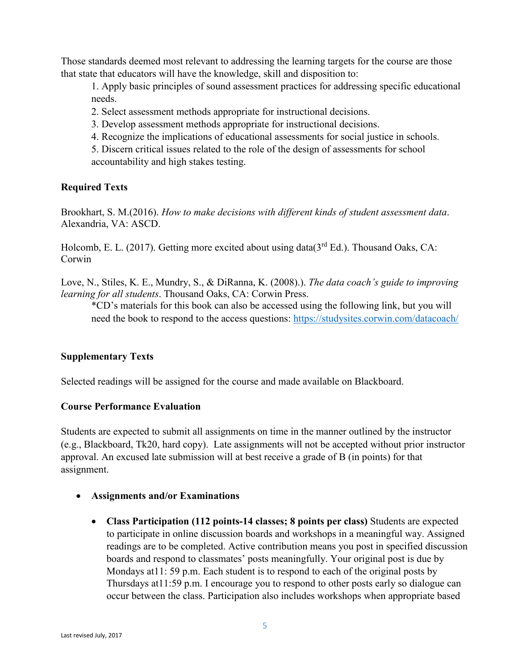Those standards deemed most relevant to addressing the learning targets for the course are those that state that educators will have the knowledge, skill and disposition to:

1. Apply basic principles of sound assessment practices for addressing specific educational needs.

2. Select assessment methods appropriate for instructional decisions.

3. Develop assessment methods appropriate for instructional decisions.

4. Recognize the implications of educational assessments for social justice in schools.

5. Discern critical issues related to the role of the design of assessments for school accountability and high stakes testing.

## **Required Texts**

Brookhart, S. M.(2016). *How to make decisions with different kinds of student assessment data*. Alexandria, VA: ASCD.

Holcomb, E. L. (2017). Getting more excited about using data( $3<sup>rd</sup> Ed$ .). Thousand Oaks, CA: Corwin

Love, N., Stiles, K. E., Mundry, S., & DiRanna, K. (2008).). *The data coach's guide to improving learning for all students*. Thousand Oaks, CA: Corwin Press.

\*CD's materials for this book can also be accessed using the following link, but you will need the book to respond to the access questions:<https://studysites.corwin.com/datacoach/>

#### **Supplementary Texts**

Selected readings will be assigned for the course and made available on Blackboard.

#### **Course Performance Evaluation**

Students are expected to submit all assignments on time in the manner outlined by the instructor (e.g., Blackboard, Tk20, hard copy). Late assignments will not be accepted without prior instructor approval. An excused late submission will at best receive a grade of B (in points) for that assignment.

- **Assignments and/or Examinations**
	- **Class Participation (112 points-14 classes; 8 points per class)** Students are expected to participate in online discussion boards and workshops in a meaningful way. Assigned readings are to be completed. Active contribution means you post in specified discussion boards and respond to classmates' posts meaningfully. Your original post is due by Mondays at11: 59 p.m. Each student is to respond to each of the original posts by Thursdays at11:59 p.m. I encourage you to respond to other posts early so dialogue can occur between the class. Participation also includes workshops when appropriate based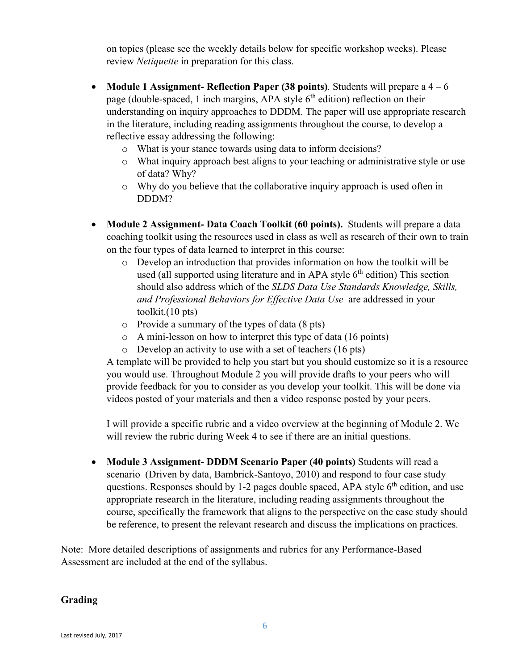on topics (please see the weekly details below for specific workshop weeks). Please review *Netiquette* in preparation for this class.

- **Module 1 Assignment- Reflection Paper (38 points)***.* Students will prepare a 4 6 page (double-spaced, 1 inch margins, APA style  $6<sup>th</sup>$  edition) reflection on their understanding on inquiry approaches to DDDM. The paper will use appropriate research in the literature, including reading assignments throughout the course, to develop a reflective essay addressing the following:
	- o What is your stance towards using data to inform decisions?
	- o What inquiry approach best aligns to your teaching or administrative style or use of data? Why?
	- o Why do you believe that the collaborative inquiry approach is used often in DDDM?
- **Module 2 Assignment- Data Coach Toolkit (60 points).** Students will prepare a data coaching toolkit using the resources used in class as well as research of their own to train on the four types of data learned to interpret in this course:
	- o Develop an introduction that provides information on how the toolkit will be used (all supported using literature and in APA style  $6<sup>th</sup>$  edition) This section should also address which of the *SLDS Data Use Standards Knowledge, Skills, and Professional Behaviors for Effective Data Use* are addressed in your toolkit.(10 pts)
	- o Provide a summary of the types of data (8 pts)
	- o A mini-lesson on how to interpret this type of data (16 points)
	- o Develop an activity to use with a set of teachers (16 pts)

A template will be provided to help you start but you should customize so it is a resource you would use. Throughout Module 2 you will provide drafts to your peers who will provide feedback for you to consider as you develop your toolkit. This will be done via videos posted of your materials and then a video response posted by your peers.

I will provide a specific rubric and a video overview at the beginning of Module 2. We will review the rubric during Week 4 to see if there are an initial questions.

• **Module 3 Assignment- DDDM Scenario Paper (40 points)** Students will read a scenario (Driven by data, Bambrick-Santoyo, 2010) and respond to four case study questions. Responses should by 1-2 pages double spaced, APA style  $6<sup>th</sup>$  edition, and use appropriate research in the literature, including reading assignments throughout the course, specifically the framework that aligns to the perspective on the case study should be reference, to present the relevant research and discuss the implications on practices.

Note: More detailed descriptions of assignments and rubrics for any Performance-Based Assessment are included at the end of the syllabus.

#### **Grading**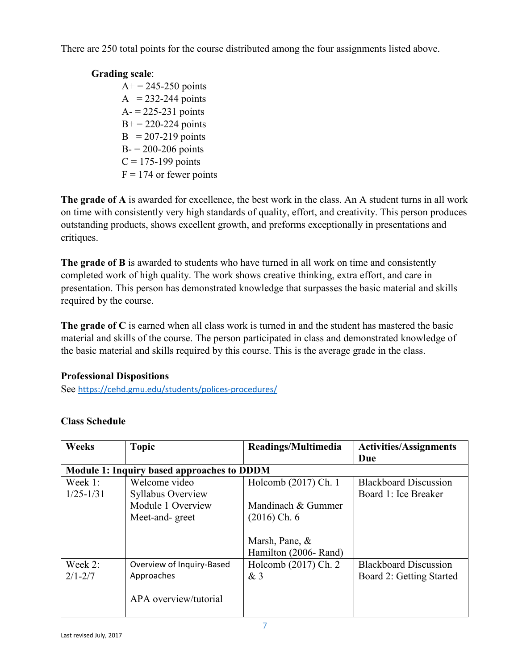There are 250 total points for the course distributed among the four assignments listed above.

## **Grading scale**:

 $A+= 245 - 250$  points  $A = 232-244$  points  $A = 225 - 231$  points  $B<sup>+</sup> = 220-224$  points  $B = 207-219$  points  $B = 200 - 206$  points  $C = 175-199$  points  $F = 174$  or fewer points

**The grade of A** is awarded for excellence, the best work in the class. An A student turns in all work on time with consistently very high standards of quality, effort, and creativity. This person produces outstanding products, shows excellent growth, and preforms exceptionally in presentations and critiques.

**The grade of B** is awarded to students who have turned in all work on time and consistently completed work of high quality. The work shows creative thinking, extra effort, and care in presentation. This person has demonstrated knowledge that surpasses the basic material and skills required by the course.

**The grade of C** is earned when all class work is turned in and the student has mastered the basic material and skills of the course. The person participated in class and demonstrated knowledge of the basic material and skills required by this course. This is the average grade in the class.

## **Professional Dispositions**

See <https://cehd.gmu.edu/students/polices-procedures/>

| <b>Weeks</b>  | <b>Topic</b>                                      | Readings/Multimedia   | <b>Activities/Assignments</b> |  |
|---------------|---------------------------------------------------|-----------------------|-------------------------------|--|
|               |                                                   |                       | Due                           |  |
|               | <b>Module 1: Inquiry based approaches to DDDM</b> |                       |                               |  |
| Week 1:       | Welcome video                                     | Holcomb (2017) Ch. 1  | <b>Blackboard Discussion</b>  |  |
| $1/25 - 1/31$ | Syllabus Overview                                 |                       | Board 1: Ice Breaker          |  |
|               | Module 1 Overview                                 | Mandinach & Gummer    |                               |  |
|               | Meet-and-greet                                    | $(2016)$ Ch. 6        |                               |  |
|               |                                                   |                       |                               |  |
|               |                                                   | Marsh, Pane, &        |                               |  |
|               |                                                   | Hamilton (2006- Rand) |                               |  |
| Week 2:       | Overview of Inquiry-Based                         | Holcomb (2017) Ch. 2  | <b>Blackboard Discussion</b>  |  |
| $2/1 - 2/7$   | Approaches                                        | &3                    | Board 2: Getting Started      |  |
|               | APA overview/tutorial                             |                       |                               |  |

# **Class Schedule**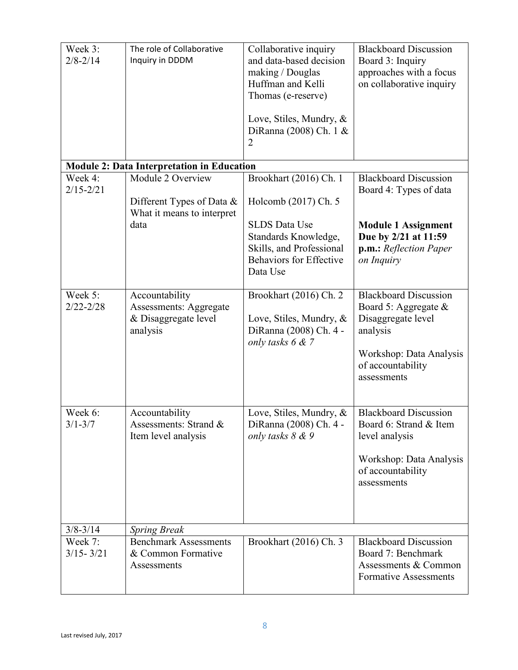| Week 3:<br>$2/8 - 2/14$  | The role of Collaborative<br>Inquiry in DDDM                                        | Collaborative inquiry<br>and data-based decision<br>making / Douglas<br>Huffman and Kelli<br>Thomas (e-reserve)<br>Love, Stiles, Mundry, &<br>DiRanna (2008) Ch. 1 &<br>$\overline{2}$ | <b>Blackboard Discussion</b><br>Board 3: Inquiry<br>approaches with a focus<br>on collaborative inquiry                                               |
|--------------------------|-------------------------------------------------------------------------------------|----------------------------------------------------------------------------------------------------------------------------------------------------------------------------------------|-------------------------------------------------------------------------------------------------------------------------------------------------------|
|                          | <b>Module 2: Data Interpretation in Education</b>                                   |                                                                                                                                                                                        |                                                                                                                                                       |
| Week 4:<br>$2/15 - 2/21$ | Module 2 Overview                                                                   | Brookhart (2016) Ch. 1                                                                                                                                                                 | <b>Blackboard Discussion</b><br>Board 4: Types of data                                                                                                |
|                          | Different Types of Data &<br>What it means to interpret                             | Holcomb (2017) Ch. 5                                                                                                                                                                   |                                                                                                                                                       |
|                          | data                                                                                | <b>SLDS</b> Data Use<br>Standards Knowledge,<br>Skills, and Professional<br><b>Behaviors for Effective</b><br>Data Use                                                                 | <b>Module 1 Assignment</b><br>Due by 2/21 at 11:59<br>p.m.: Reflection Paper<br>on Inquiry                                                            |
| Week 5:<br>$2/22 - 2/28$ | Accountability<br><b>Assessments: Aggregate</b><br>& Disaggregate level<br>analysis | Brookhart (2016) Ch. 2<br>Love, Stiles, Mundry, &<br>DiRanna (2008) Ch. 4 -<br>only tasks 6 & 7                                                                                        | <b>Blackboard Discussion</b><br>Board 5: Aggregate &<br>Disaggregate level<br>analysis<br>Workshop: Data Analysis<br>of accountability<br>assessments |
| Week 6:<br>$3/1 - 3/7$   | Accountability<br>Assessments: Strand &<br>Item level analysis                      | Love, Stiles, Mundry, &<br>DiRanna (2008) Ch. 4 -<br>only tasks 8 & 9                                                                                                                  | <b>Blackboard Discussion</b><br>Board 6: Strand & Item<br>level analysis<br>Workshop: Data Analysis<br>of accountability<br>assessments               |
| $3/8 - 3/14$             | <b>Spring Break</b>                                                                 |                                                                                                                                                                                        |                                                                                                                                                       |
| Week 7:<br>$3/15 - 3/21$ | <b>Benchmark Assessments</b><br>& Common Formative<br>Assessments                   | Brookhart (2016) Ch. 3                                                                                                                                                                 | <b>Blackboard Discussion</b><br>Board 7: Benchmark<br>Assessments & Common<br><b>Formative Assessments</b>                                            |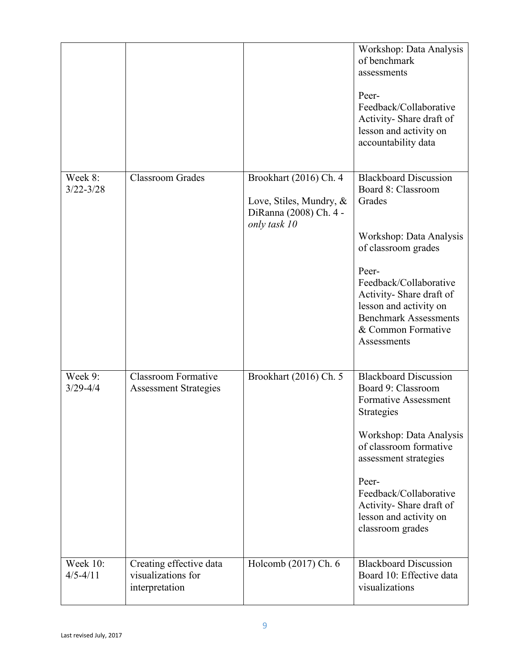|                          |                                                                 |                                                                                             | Workshop: Data Analysis<br>of benchmark<br>assessments<br>Peer-<br>Feedback/Collaborative<br>Activity-Share draft of<br>lesson and activity on<br>accountability data                                                                                                                            |
|--------------------------|-----------------------------------------------------------------|---------------------------------------------------------------------------------------------|--------------------------------------------------------------------------------------------------------------------------------------------------------------------------------------------------------------------------------------------------------------------------------------------------|
| Week 8:<br>$3/22 - 3/28$ | <b>Classroom Grades</b>                                         | Brookhart (2016) Ch. 4<br>Love, Stiles, Mundry, &<br>DiRanna (2008) Ch. 4 -<br>only task 10 | <b>Blackboard Discussion</b><br>Board 8: Classroom<br>Grades<br>Workshop: Data Analysis<br>of classroom grades<br>Peer-<br>Feedback/Collaborative<br>Activity-Share draft of<br>lesson and activity on<br><b>Benchmark Assessments</b><br>& Common Formative<br>Assessments                      |
| Week 9:<br>$3/29 - 4/4$  | Classroom Formative<br><b>Assessment Strategies</b>             | Brookhart (2016) Ch. 5                                                                      | <b>Blackboard Discussion</b><br>Board 9: Classroom<br><b>Formative Assessment</b><br><b>Strategies</b><br>Workshop: Data Analysis<br>of classroom formative<br>assessment strategies<br>Peer-<br>Feedback/Collaborative<br>Activity-Share draft of<br>lesson and activity on<br>classroom grades |
| Week 10:<br>$4/5 - 4/11$ | Creating effective data<br>visualizations for<br>interpretation | Holcomb (2017) Ch. 6                                                                        | <b>Blackboard Discussion</b><br>Board 10: Effective data<br>visualizations                                                                                                                                                                                                                       |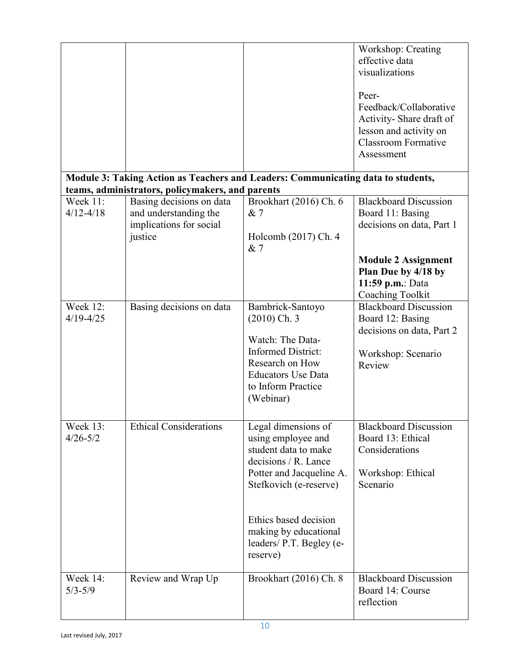|                           |                                                                                                                                      |                                                                                                                                                                                                                                           | Workshop: Creating<br>effective data<br>visualizations<br>Peer-<br>Feedback/Collaborative<br>Activity-Share draft of<br>lesson and activity on<br><b>Classroom Formative</b><br>Assessment |
|---------------------------|--------------------------------------------------------------------------------------------------------------------------------------|-------------------------------------------------------------------------------------------------------------------------------------------------------------------------------------------------------------------------------------------|--------------------------------------------------------------------------------------------------------------------------------------------------------------------------------------------|
|                           | Module 3: Taking Action as Teachers and Leaders: Communicating data to students,<br>teams, administrators, policymakers, and parents |                                                                                                                                                                                                                                           |                                                                                                                                                                                            |
| Week 11:<br>$4/12 - 4/18$ | Basing decisions on data<br>and understanding the<br>implications for social<br>justice                                              | Brookhart (2016) Ch. 6<br>& 7<br>Holcomb (2017) Ch. 4<br>& 7                                                                                                                                                                              | <b>Blackboard Discussion</b><br>Board 11: Basing<br>decisions on data, Part 1                                                                                                              |
|                           |                                                                                                                                      |                                                                                                                                                                                                                                           | <b>Module 2 Assignment</b><br>Plan Due by 4/18 by<br>11:59 p.m.: Data<br>Coaching Toolkit                                                                                                  |
| Week 12:<br>$4/19 - 4/25$ | Basing decisions on data                                                                                                             | Bambrick-Santoyo<br>$(2010)$ Ch. 3<br>Watch: The Data-<br><b>Informed District:</b><br>Research on How<br><b>Educators Use Data</b><br>to Inform Practice<br>(Webinar)                                                                    | <b>Blackboard Discussion</b><br>Board 12: Basing<br>decisions on data, Part 2<br>Workshop: Scenario<br>Review                                                                              |
| Week 13:<br>$4/26 - 5/2$  | <b>Ethical Considerations</b>                                                                                                        | Legal dimensions of<br>using employee and<br>student data to make<br>decisions / R. Lance<br>Potter and Jacqueline A.<br>Stefkovich (e-reserve)<br>Ethics based decision<br>making by educational<br>leaders/ P.T. Begley (e-<br>reserve) | <b>Blackboard Discussion</b><br>Board 13: Ethical<br>Considerations<br>Workshop: Ethical<br>Scenario                                                                                       |
| Week 14:<br>$5/3 - 5/9$   | Review and Wrap Up                                                                                                                   | Brookhart (2016) Ch. 8                                                                                                                                                                                                                    | <b>Blackboard Discussion</b><br>Board 14: Course<br>reflection                                                                                                                             |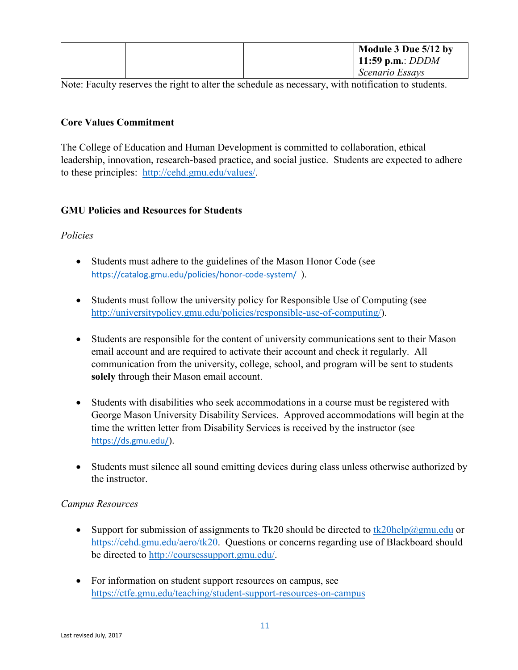|  | Module 3 Due 5/12 by |
|--|----------------------|
|  | 11:59 p.m.: $DDDM$   |
|  | Scenario Essays      |

Note: Faculty reserves the right to alter the schedule as necessary, with notification to students.

# **Core Values Commitment**

The College of Education and Human Development is committed to collaboration, ethical leadership, innovation, research-based practice, and social justice. Students are expected to adhere to these principles: [http://cehd.gmu.edu/values/.](http://cehd.gmu.edu/values/)

# **GMU Policies and Resources for Students**

# *Policies*

- Students must adhere to the guidelines of the Mason Honor Code (see <https://catalog.gmu.edu/policies/honor-code-system/>).
- Students must follow the university policy for Responsible Use of Computing (see [http://universitypolicy.gmu.edu/policies/responsible-use-of-computing/\)](http://universitypolicy.gmu.edu/policies/responsible-use-of-computing/).
- Students are responsible for the content of university communications sent to their Mason email account and are required to activate their account and check it regularly. All communication from the university, college, school, and program will be sent to students **solely** through their Mason email account.
- Students with disabilities who seek accommodations in a course must be registered with George Mason University Disability Services. Approved accommodations will begin at the time the written letter from Disability Services is received by the instructor (see <https://ds.gmu.edu/>).
- Students must silence all sound emitting devices during class unless otherwise authorized by the instructor.

# *Campus Resources*

- Support for submission of assignments to Tk20 should be directed to  $\frac{tk20\text{help@gmu.edu}}{k20}$  or [https://cehd.gmu.edu/aero/tk20.](https://cehd.gmu.edu/aero/tk20) Questions or concerns regarding use of Blackboard should be directed to [http://coursessupport.gmu.edu/.](http://coursessupport.gmu.edu/)
- For information on student support resources on campus, see <https://ctfe.gmu.edu/teaching/student-support-resources-on-campus>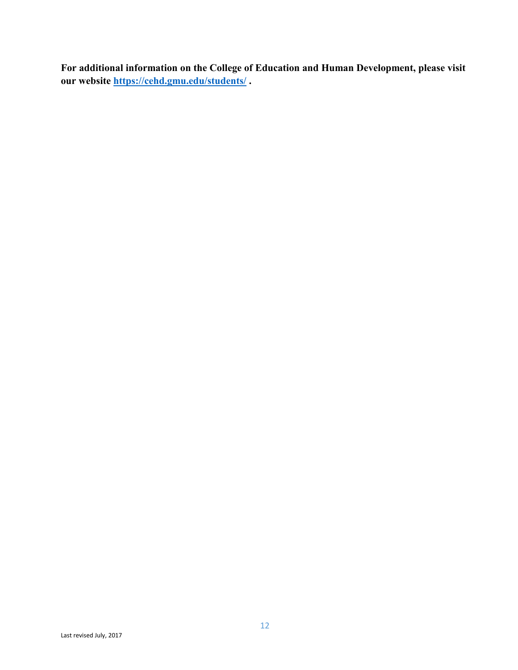**For additional information on the College of Education and Human Development, please visit our website<https://cehd.gmu.edu/students/> .**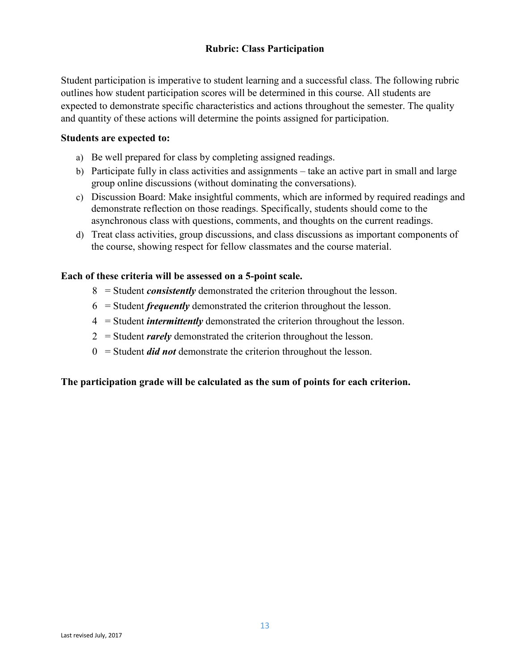## **Rubric: Class Participation**

Student participation is imperative to student learning and a successful class. The following rubric outlines how student participation scores will be determined in this course. All students are expected to demonstrate specific characteristics and actions throughout the semester. The quality and quantity of these actions will determine the points assigned for participation.

#### **Students are expected to:**

- a) Be well prepared for class by completing assigned readings.
- b) Participate fully in class activities and assignments take an active part in small and large group online discussions (without dominating the conversations).
- c) Discussion Board: Make insightful comments, which are informed by required readings and demonstrate reflection on those readings. Specifically, students should come to the asynchronous class with questions, comments, and thoughts on the current readings.
- d) Treat class activities, group discussions, and class discussions as important components of the course, showing respect for fellow classmates and the course material.

#### **Each of these criteria will be assessed on a 5-point scale.**

- 8 = Student *consistently* demonstrated the criterion throughout the lesson.
- 6 = Student *frequently* demonstrated the criterion throughout the lesson.
- 4 = Student *intermittently* demonstrated the criterion throughout the lesson.
- 2 = Student *rarely* demonstrated the criterion throughout the lesson.
- 0 = Student *did not* demonstrate the criterion throughout the lesson.

#### **The participation grade will be calculated as the sum of points for each criterion.**